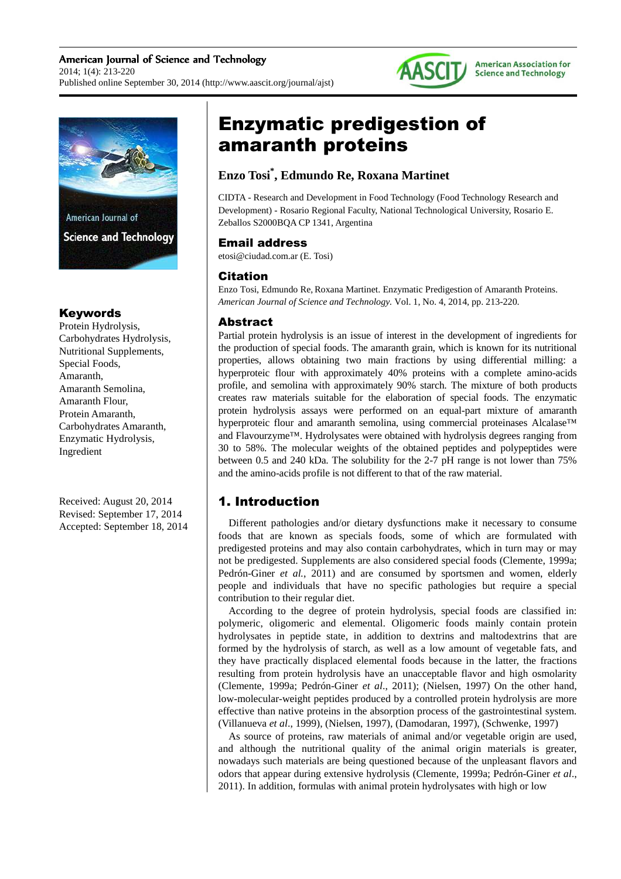



### Keywords

Protein Hydrolysis, Carbohydrates Hydrolysis, Nutritional Supplements, Special Foods, Amaranth, Amaranth Semolina, Amaranth Flour, Protein Amaranth, Carbohydrates Amaranth, Enzymatic Hydrolysis, Ingredient

Received: August 20, 2014 Revised: September 17, 2014 Accepted: September 18, 2014

# Enzymatic predigestion of amaranth proteins

## **Enzo Tosi\* , Edmundo Re, Roxana Martinet**

CIDTA - Research and Development in Food Technology (Food Technology Research and Development) - Rosario Regional Faculty, National Technological University, Rosario E. Zeballos S2000BQA CP 1341, Argentina

## Email address

etosi@ciudad.com.ar (E. Tosi)

## Citation

Enzo Tosi, Edmundo Re, Roxana Martinet. Enzymatic Predigestion of Amaranth Proteins. *American Journal of Science and Technology.* Vol. 1, No. 4, 2014, pp. 213-220.

## Abstract

Partial protein hydrolysis is an issue of interest in the development of ingredients for the production of special foods. The amaranth grain, which is known for its nutritional properties, allows obtaining two main fractions by using differential milling: a hyperproteic flour with approximately 40% proteins with a complete amino-acids profile, and semolina with approximately 90% starch. The mixture of both products creates raw materials suitable for the elaboration of special foods. The enzymatic protein hydrolysis assays were performed on an equal-part mixture of amaranth hyperproteic flour and amaranth semolina, using commercial proteinases Alcalase™ and Flavourzyme™. Hydrolysates were obtained with hydrolysis degrees ranging from 30 to 58%. The molecular weights of the obtained peptides and polypeptides were between 0.5 and 240 kDa. The solubility for the 2-7 pH range is not lower than 75% and the amino-acids profile is not different to that of the raw material.

# 1. Introduction

Different pathologies and/or dietary dysfunctions make it necessary to consume foods that are known as specials foods, some of which are formulated with predigested proteins and may also contain carbohydrates, which in turn may or may not be predigested. Supplements are also considered special foods (Clemente, 1999a; Pedrón-Giner *et al.*, 2011) and are consumed by sportsmen and women, elderly people and individuals that have no specific pathologies but require a special contribution to their regular diet.

According to the degree of protein hydrolysis, special foods are classified in: polymeric, oligomeric and elemental. Oligomeric foods mainly contain protein hydrolysates in peptide state, in addition to dextrins and maltodextrins that are formed by the hydrolysis of starch, as well as a low amount of vegetable fats, and they have practically displaced elemental foods because in the latter, the fractions resulting from protein hydrolysis have an unacceptable flavor and high osmolarity (Clemente, 1999a; Pedrón-Giner *et al*., 2011); (Nielsen, 1997) On the other hand, low-molecular-weight peptides produced by a controlled protein hydrolysis are more effective than native proteins in the absorption process of the gastrointestinal system. (Villanueva *et al*., 1999), (Nielsen, 1997), (Damodaran, 1997), (Schwenke, 1997)

As source of proteins, raw materials of animal and/or vegetable origin are used, and although the nutritional quality of the animal origin materials is greater, nowadays such materials are being questioned because of the unpleasant flavors and odors that appear during extensive hydrolysis (Clemente, 1999a; Pedrón-Giner *et al*., 2011). In addition, formulas with animal protein hydrolysates with high or low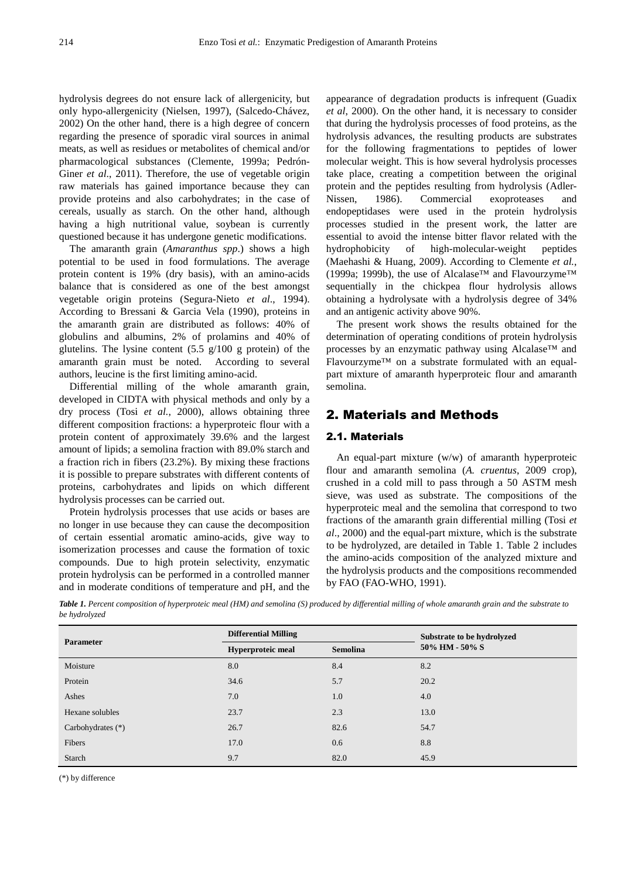hydrolysis degrees do not ensure lack of allergenicity, but only hypo-allergenicity (Nielsen, 1997), (Salcedo-Chávez, 2002) On the other hand, there is a high degree of concern regarding the presence of sporadic viral sources in animal meats, as well as residues or metabolites of chemical and/or pharmacological substances (Clemente, 1999a; Pedrón-Giner *et al.*, 2011). Therefore, the use of vegetable origin raw materials has gained importance because they can provide proteins and also carbohydrates; in the case of cereals, usually as starch. On the other hand, although having a high nutritional value, soybean is currently questioned because it has undergone genetic modifications.

The amaranth grain (*Amaranthus spp*.) shows a high potential to be used in food formulations. The average protein content is 19% (dry basis), with an amino-acids balance that is considered as one of the best amongst vegetable origin proteins (Segura-Nieto *et al*., 1994). According to Bressani & Garcia Vela (1990), proteins in the amaranth grain are distributed as follows: 40% of globulins and albumins, 2% of prolamins and 40% of glutelins. The lysine content  $(5.5 \text{ g}/100 \text{ g}$  protein) of the amaranth grain must be noted. According to several authors, leucine is the first limiting amino-acid.

Differential milling of the whole amaranth grain, developed in CIDTA with physical methods and only by a dry process (Tosi *et al.*, 2000), allows obtaining three different composition fractions: a hyperproteic flour with a protein content of approximately 39.6% and the largest amount of lipids; a semolina fraction with 89.0% starch and a fraction rich in fibers (23.2%). By mixing these fractions it is possible to prepare substrates with different contents of proteins, carbohydrates and lipids on which different hydrolysis processes can be carried out.

Protein hydrolysis processes that use acids or bases are no longer in use because they can cause the decomposition of certain essential aromatic amino-acids, give way to isomerization processes and cause the formation of toxic compounds. Due to high protein selectivity, enzymatic protein hydrolysis can be performed in a controlled manner and in moderate conditions of temperature and pH, and the

appearance of degradation products is infrequent (Guadix *et al*, 2000). On the other hand, it is necessary to consider that during the hydrolysis processes of food proteins, as the hydrolysis advances, the resulting products are substrates for the following fragmentations to peptides of lower molecular weight. This is how several hydrolysis processes take place, creating a competition between the original protein and the peptides resulting from hydrolysis (Adler-Nissen, 1986). Commercial exoproteases and endopeptidases were used in the protein hydrolysis processes studied in the present work, the latter are essential to avoid the intense bitter flavor related with the hydrophobicity of high-molecular-weight peptides (Maehashi & Huang, 2009). According to Clemente *et al.*, (1999a; 1999b), the use of Alcalase<sup>™</sup> and Flavourzyme<sup>™</sup> sequentially in the chickpea flour hydrolysis allows obtaining a hydrolysate with a hydrolysis degree of 34% and an antigenic activity above 90%.

The present work shows the results obtained for the determination of operating conditions of protein hydrolysis processes by an enzymatic pathway using Alcalase™ and Flavourzyme™ on a substrate formulated with an equalpart mixture of amaranth hyperproteic flour and amaranth semolina.

## 2. Materials and Methods

#### 2.1. Materials

An equal-part mixture (w/w) of amaranth hyperproteic flour and amaranth semolina (*A. cruentus*, 2009 crop), crushed in a cold mill to pass through a 50 ASTM mesh sieve, was used as substrate. The compositions of the hyperproteic meal and the semolina that correspond to two fractions of the amaranth grain differential milling (Tosi *et al*., 2000) and the equal-part mixture, which is the substrate to be hydrolyzed, are detailed in Table 1. Table 2 includes the amino-acids composition of the analyzed mixture and the hydrolysis products and the compositions recommended by FAO (FAO-WHO, 1991).

*Table 1. Percent composition of hyperproteic meal (HM) and semolina (S) produced by differential milling of whole amaranth grain and the substrate to be hydrolyzed* 

| <b>Parameter</b>    | <b>Differential Milling</b> |                 | Substrate to be hydrolyzed |
|---------------------|-----------------------------|-----------------|----------------------------|
|                     | Hyperproteic meal           | <b>Semolina</b> | 50% HM - 50% S             |
| Moisture            | 8.0                         | 8.4             | 8.2                        |
| Protein             | 34.6                        | 5.7             | 20.2                       |
| Ashes               | 7.0                         | 1.0             | 4.0                        |
| Hexane solubles     | 23.7                        | 2.3             | 13.0                       |
| Carbohydrates $(*)$ | 26.7                        | 82.6            | 54.7                       |
| Fibers              | 17.0                        | 0.6             | 8.8                        |
| Starch              | 9.7                         | 82.0            | 45.9                       |

(\*) by difference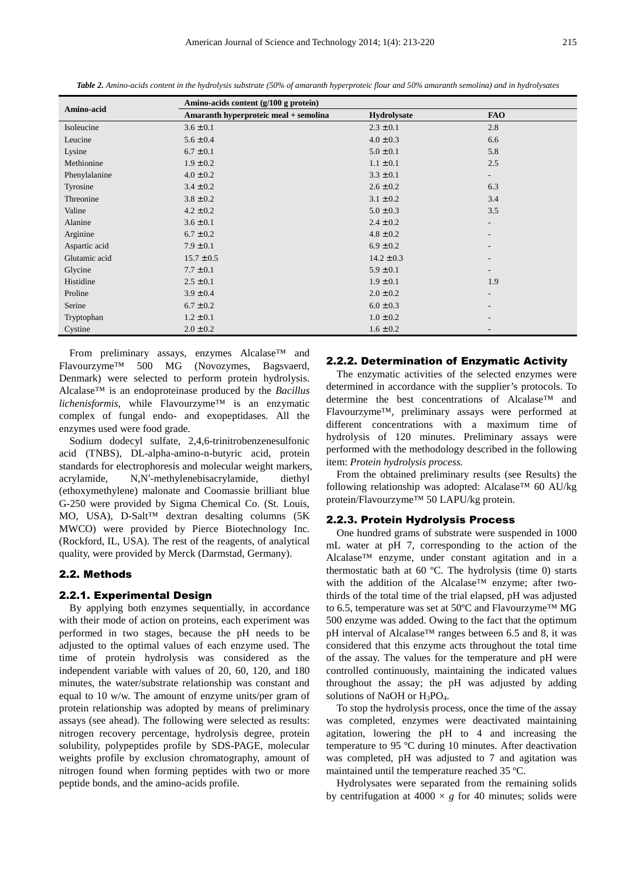| Amino-acid    | Amino-acids content (g/100 g protein) |                |                          |  |
|---------------|---------------------------------------|----------------|--------------------------|--|
|               | Amaranth hyperproteic meal + semolina | Hydrolysate    | <b>FAO</b>               |  |
| Isoleucine    | $3.6 \pm 0.1$                         | $2.3 \pm 0.1$  | 2.8                      |  |
| Leucine       | $5.6 \pm 0.4$                         | $4.0 \pm 0.3$  | 6.6                      |  |
| Lysine        | $6.7 \pm 0.1$                         | $5.0 \pm 0.1$  | 5.8                      |  |
| Methionine    | $1.9 \pm 0.2$                         | $1.1 \pm 0.1$  | 2.5                      |  |
| Phenylalanine | $4.0 \pm 0.2$                         | $3.3 \pm 0.1$  | $\overline{\phantom{a}}$ |  |
| Tyrosine      | $3.4 \pm 0.2$                         | $2.6 \pm 0.2$  | 6.3                      |  |
| Threonine     | $3.8 \pm 0.2$                         | $3.1 \pm 0.2$  | 3.4                      |  |
| Valine        | $4.2 \pm 0.2$                         | $5.0 \pm 0.3$  | 3.5                      |  |
| Alanine       | $3.6 \pm 0.1$                         | $2.4 \pm 0.2$  | $\overline{\phantom{a}}$ |  |
| Arginine      | $6.7 \pm 0.2$                         | $4.8 \pm 0.2$  |                          |  |
| Aspartic acid | $7.9 \pm 0.1$                         | $6.9 \pm 0.2$  |                          |  |
| Glutamic acid | $15.7 \pm 0.5$                        | $14.2 \pm 0.3$ | $\overline{\phantom{a}}$ |  |
| Glycine       | $7.7 \pm 0.1$                         | $5.9 \pm 0.1$  | $\overline{\phantom{a}}$ |  |
| Histidine     | $2.5 \pm 0.1$                         | $1.9 \pm 0.1$  | 1.9                      |  |
| Proline       | $3.9 \pm 0.4$                         | $2.0 \pm 0.2$  | $\overline{\phantom{a}}$ |  |
| Serine        | $6.7 \pm 0.2$                         | $6.0 \pm 0.3$  |                          |  |
| Tryptophan    | $1.2 \pm 0.1$                         | $1.0 \pm 0.2$  |                          |  |
| Cystine       | $2.0 \pm 0.2$                         | $1.6 \pm 0.2$  |                          |  |

*Table 2. Amino-acids content in the hydrolysis substrate (50% of amaranth hyperproteic flour and 50% amaranth semolina) and in hydrolysates* 

From preliminary assays, enzymes Alcalase™ and Flavourzyme™ 500 MG (Novozymes, Bagsvaerd, Denmark) were selected to perform protein hydrolysis. Alcalase™ is an endoproteinase produced by the *Bacillus lichenisformis*, while Flavourzyme™ is an enzymatic complex of fungal endo- and exopeptidases. All the enzymes used were food grade.

Sodium dodecyl sulfate, 2,4,6-trinitrobenzenesulfonic acid (TNBS), DL-alpha-amino-n-butyric acid, protein standards for electrophoresis and molecular weight markers, acrylamide, N,N′-methylenebisacrylamide, diethyl (ethoxymethylene) malonate and Coomassie brilliant blue G-250 were provided by Sigma Chemical Co. (St. Louis, MO, USA), D-Salt™ dextran desalting columns (5K MWCO) were provided by Pierce Biotechnology Inc. (Rockford, IL, USA). The rest of the reagents, of analytical quality, were provided by Merck (Darmstad, Germany).

#### 2.2. Methods

#### 2.2.1. Experimental Design

By applying both enzymes sequentially, in accordance with their mode of action on proteins, each experiment was performed in two stages, because the pH needs to be adjusted to the optimal values of each enzyme used. The time of protein hydrolysis was considered as the independent variable with values of 20, 60, 120, and 180 minutes, the water/substrate relationship was constant and equal to 10 w/w. The amount of enzyme units/per gram of protein relationship was adopted by means of preliminary assays (see ahead). The following were selected as results: nitrogen recovery percentage, hydrolysis degree, protein solubility, polypeptides profile by SDS-PAGE, molecular weights profile by exclusion chromatography, amount of nitrogen found when forming peptides with two or more peptide bonds, and the amino-acids profile.

#### 2.2.2. Determination of Enzymatic Activity

The enzymatic activities of the selected enzymes were determined in accordance with the supplier's protocols. To determine the best concentrations of Alcalase™ and Flavourzyme™, preliminary assays were performed at different concentrations with a maximum time of hydrolysis of 120 minutes. Preliminary assays were performed with the methodology described in the following item: *Protein hydrolysis process.*

From the obtained preliminary results (see Results) the following relationship was adopted: Alcalase™ 60 AU/kg protein/Flavourzyme™ 50 LAPU/kg protein.

#### 2.2.3. Protein Hydrolysis Process

One hundred grams of substrate were suspended in 1000 mL water at pH 7, corresponding to the action of the Alcalase™ enzyme, under constant agitation and in a thermostatic bath at 60 ºC. The hydrolysis (time 0) starts with the addition of the Alcalase™ enzyme; after twothirds of the total time of the trial elapsed, pH was adjusted to 6.5, temperature was set at 50ºC and Flavourzyme™ MG 500 enzyme was added. Owing to the fact that the optimum pH interval of Alcalase™ ranges between 6.5 and 8, it was considered that this enzyme acts throughout the total time of the assay. The values for the temperature and pH were controlled continuously, maintaining the indicated values throughout the assay; the pH was adjusted by adding solutions of NaOH or  $H_3PO_4$ .

To stop the hydrolysis process, once the time of the assay was completed, enzymes were deactivated maintaining agitation, lowering the pH to 4 and increasing the temperature to 95 ºC during 10 minutes. After deactivation was completed, pH was adjusted to 7 and agitation was maintained until the temperature reached 35 ºC.

Hydrolysates were separated from the remaining solids by centrifugation at  $4000 \times g$  for 40 minutes; solids were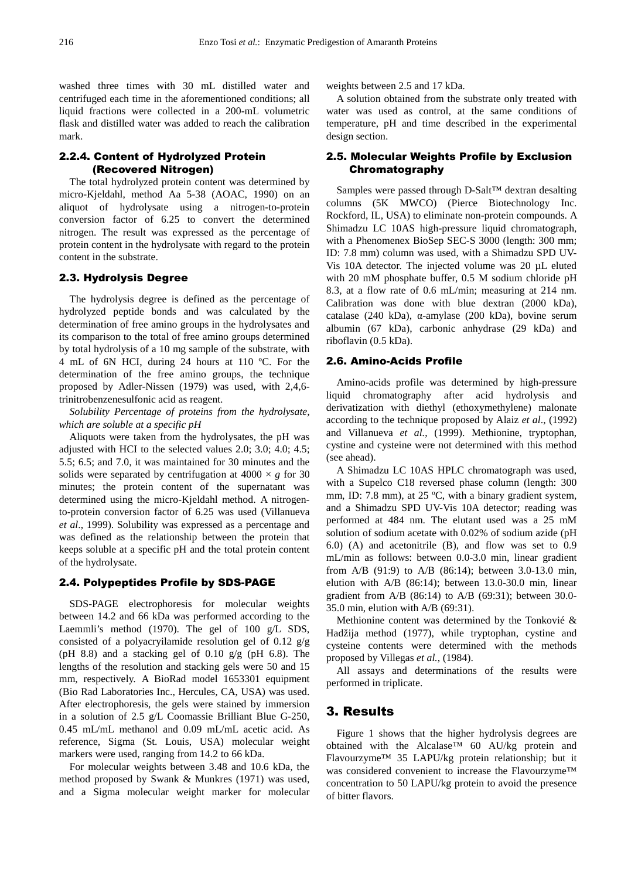washed three times with 30 mL distilled water and centrifuged each time in the aforementioned conditions; all liquid fractions were collected in a 200-mL volumetric flask and distilled water was added to reach the calibration mark.

#### 2.2.4. Content of Hydrolyzed Protein (Recovered Nitrogen)

The total hydrolyzed protein content was determined by micro-Kjeldahl, method Aa 5-38 (AOAC, 1990) on an aliquot of hydrolysate using a nitrogen-to-protein conversion factor of 6.25 to convert the determined nitrogen. The result was expressed as the percentage of protein content in the hydrolysate with regard to the protein content in the substrate.

#### 2.3. Hydrolysis Degree

The hydrolysis degree is defined as the percentage of hydrolyzed peptide bonds and was calculated by the determination of free amino groups in the hydrolysates and its comparison to the total of free amino groups determined by total hydrolysis of a 10 mg sample of the substrate, with 4 mL of 6N HCI, during 24 hours at 110 ºC. For the determination of the free amino groups, the technique proposed by Adler-Nissen (1979) was used, with 2,4,6 trinitrobenzenesulfonic acid as reagent.

*Solubility Percentage of proteins from the hydrolysate, which are soluble at a specific pH*

Aliquots were taken from the hydrolysates, the pH was adjusted with HCI to the selected values 2.0; 3.0; 4.0; 4.5; 5.5; 6.5; and 7.0, it was maintained for 30 minutes and the solids were separated by centrifugation at  $4000 \times g$  for 30 minutes; the protein content of the supernatant was determined using the micro-Kjeldahl method. A nitrogento-protein conversion factor of 6.25 was used (Villanueva *et al*., 1999). Solubility was expressed as a percentage and was defined as the relationship between the protein that keeps soluble at a specific pH and the total protein content of the hydrolysate.

#### 2.4. Polypeptides Profile by SDS-PAGE

SDS-PAGE electrophoresis for molecular weights between 14.2 and 66 kDa was performed according to the Laemmli's method (1970). The gel of 100 g/L SDS, consisted of a polyacryilamide resolution gel of 0.12 g/g (pH 8.8) and a stacking gel of  $0.10$  g/g (pH 6.8). The lengths of the resolution and stacking gels were 50 and 15 mm, respectively. A BioRad model 1653301 equipment (Bio Rad Laboratories Inc., Hercules, CA, USA) was used. After electrophoresis, the gels were stained by immersion in a solution of 2.5 g/L Coomassie Brilliant Blue G-250, 0.45 mL/mL methanol and 0.09 mL/mL acetic acid. As reference, Sigma (St. Louis, USA) molecular weight markers were used, ranging from 14.2 to 66 kDa.

For molecular weights between 3.48 and 10.6 kDa, the method proposed by Swank & Munkres (1971) was used, and a Sigma molecular weight marker for molecular weights between 2.5 and 17 kDa.

A solution obtained from the substrate only treated with water was used as control, at the same conditions of temperature, pH and time described in the experimental design section.

#### 2.5. Molecular Weights Profile by Exclusion Chromatography

Samples were passed through D-Salt™ dextran desalting columns (5K MWCO) (Pierce Biotechnology Inc. Rockford, IL, USA) to eliminate non-protein compounds. A Shimadzu LC 10AS high-pressure liquid chromatograph, with a Phenomenex BioSep SEC-S 3000 (length: 300 mm; ID: 7.8 mm) column was used, with a Shimadzu SPD UV-Vis 10A detector. The injected volume was 20 µL eluted with 20 mM phosphate buffer, 0.5 M sodium chloride pH 8.3, at a flow rate of 0.6 mL/min; measuring at 214 nm. Calibration was done with blue dextran (2000 kDa), catalase (240 kDa), α-amylase (200 kDa), bovine serum albumin (67 kDa), carbonic anhydrase (29 kDa) and riboflavin (0.5 kDa).

#### 2.6. Amino-Acids Profile

Amino-acids profile was determined by high-pressure liquid chromatography after acid hydrolysis and derivatization with diethyl (ethoxymethylene) malonate according to the technique proposed by Alaiz *et al*., (1992) and Villanueva *et al.*, (1999). Methionine, tryptophan, cystine and cysteine were not determined with this method (see ahead).

A Shimadzu LC 10AS HPLC chromatograph was used, with a Supelco C18 reversed phase column (length: 300 mm, ID: 7.8 mm), at 25 °C, with a binary gradient system, and a Shimadzu SPD UV-Vis 10A detector; reading was performed at 484 nm. The elutant used was a 25 mM solution of sodium acetate with 0.02% of sodium azide (pH 6.0) (A) and acetonitrile (B), and flow was set to 0.9 mL/min as follows: between 0.0-3.0 min, linear gradient from A/B (91:9) to A/B (86:14); between 3.0-13.0 min, elution with A/B (86:14); between 13.0-30.0 min, linear gradient from A/B (86:14) to A/B (69:31); between 30.0- 35.0 min, elution with A/B (69:31).

Methionine content was determined by the Tonkovié & Hadžija method (1977), while tryptophan, cystine and cysteine contents were determined with the methods proposed by Villegas *et al.*, (1984).

All assays and determinations of the results were performed in triplicate.

#### 3. Results

Figure 1 shows that the higher hydrolysis degrees are obtained with the Alcalase™ 60 AU/kg protein and Flavourzyme™ 35 LAPU/kg protein relationship; but it was considered convenient to increase the Flavourzyme™ concentration to 50 LAPU/kg protein to avoid the presence of bitter flavors.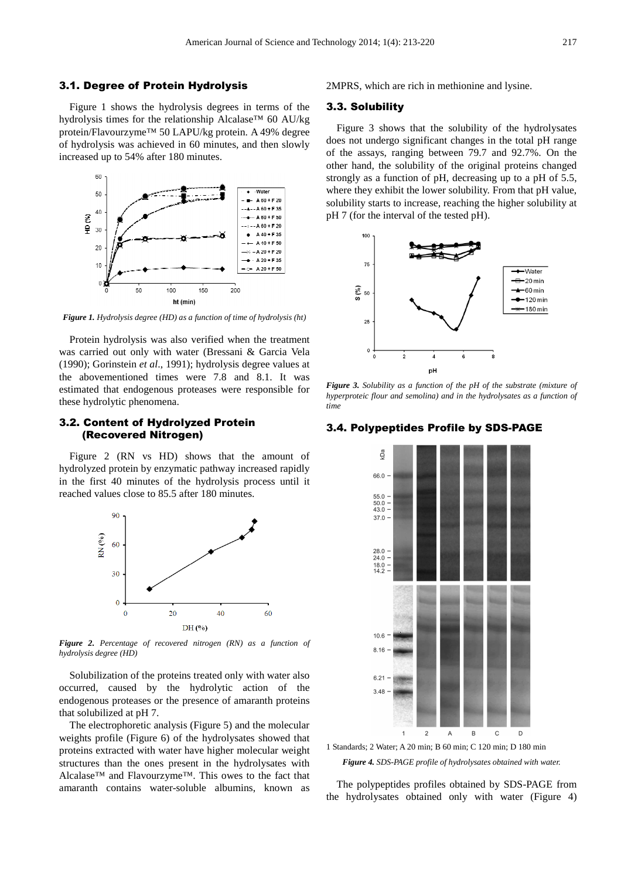#### 3.1. Degree of Protein Hydrolysis

Figure 1 shows the hydrolysis degrees in terms of the hydrolysis times for the relationship Alcalase™ 60 AU/kg protein/Flavourzyme™ 50 LAPU/kg protein. A 49% degree of hydrolysis was achieved in 60 minutes, and then slowly increased up to 54% after 180 minutes.



*Figure 1. Hydrolysis degree (HD) as a function of time of hydrolysis (ht)* 

Protein hydrolysis was also verified when the treatment was carried out only with water (Bressani & Garcia Vela (1990); Gorinstein *et al*., 1991); hydrolysis degree values at the abovementioned times were 7.8 and 8.1. It was estimated that endogenous proteases were responsible for these hydrolytic phenomena.

#### 3.2. Content of Hydrolyzed Protein (Recovered Nitrogen)

Figure 2 (RN vs HD) shows that the amount of hydrolyzed protein by enzymatic pathway increased rapidly in the first 40 minutes of the hydrolysis process until it reached values close to 85.5 after 180 minutes.



*Figure 2. Percentage of recovered nitrogen (RN) as a function of hydrolysis degree (HD)* 

Solubilization of the proteins treated only with water also occurred, caused by the hydrolytic action of the endogenous proteases or the presence of amaranth proteins that solubilized at pH 7.

The electrophoretic analysis (Figure 5) and the molecular weights profile (Figure 6) of the hydrolysates showed that proteins extracted with water have higher molecular weight structures than the ones present in the hydrolysates with Alcalase™ and Flavourzyme™. This owes to the fact that amaranth contains water-soluble albumins, known as 2MPRS, which are rich in methionine and lysine.

#### 3.3. Solubility

Figure 3 shows that the solubility of the hydrolysates does not undergo significant changes in the total pH range of the assays, ranging between 79.7 and 92.7%. On the other hand, the solubility of the original proteins changed strongly as a function of pH, decreasing up to a pH of 5.5, where they exhibit the lower solubility. From that pH value, solubility starts to increase, reaching the higher solubility at pH 7 (for the interval of the tested pH).



*Figure 3. Solubility as a function of the pH of the substrate (mixture of hyperproteic flour and semolina) and in the hydrolysates as a function of time* 

#### 3.4. Polypeptides Profile by SDS-PAGE



1 Standards; 2 Water; A 20 min; B 60 min; C 120 min; D 180 min *Figure 4. SDS-PAGE profile of hydrolysates obtained with water.* 

The polypeptides profiles obtained by SDS-PAGE from the hydrolysates obtained only with water (Figure 4)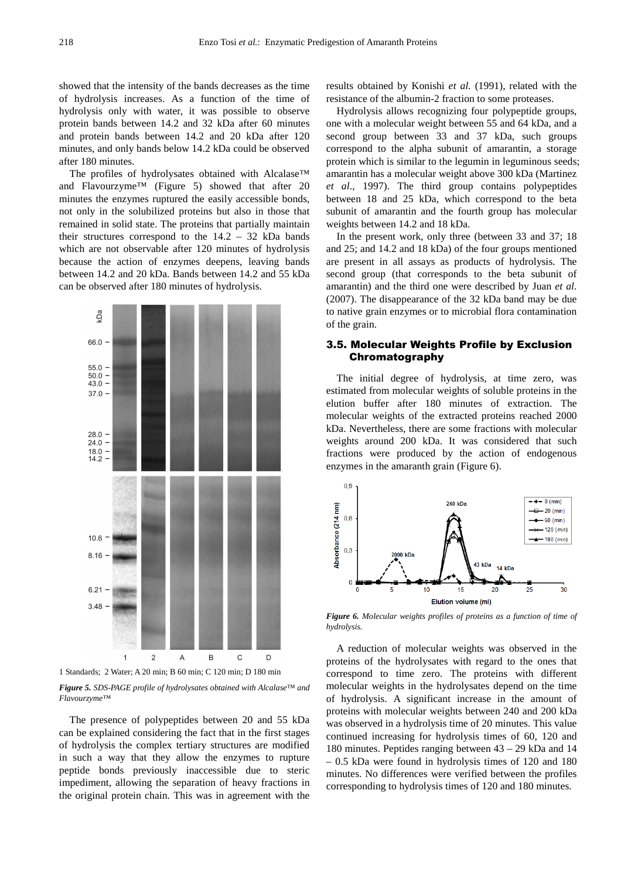showed that the intensity of the bands decreases as the time of hydrolysis increases. As a function of the time of hydrolysis only with water, it was possible to observe protein bands between 14.2 and 32 kDa after 60 minutes and protein bands between 14.2 and 20 kDa after 120 minutes, and only bands below 14.2 kDa could be observed after 180 minutes.

The profiles of hydrolysates obtained with Alcalase™ and Flavourzyme™ (Figure 5) showed that after 20 minutes the enzymes ruptured the easily accessible bonds, not only in the solubilized proteins but also in those that remained in solid state. The proteins that partially maintain their structures correspond to the 14.2 – 32 kDa bands which are not observable after 120 minutes of hydrolysis because the action of enzymes deepens, leaving bands between 14.2 and 20 kDa. Bands between 14.2 and 55 kDa can be observed after 180 minutes of hydrolysis.



1 Standards; 2 Water; A 20 min; B 60 min; C 120 min; D 180 min

*Figure 5. SDS-PAGE profile of hydrolysates obtained with Alcalase™ and Flavourzyme™* 

The presence of polypeptides between 20 and 55 kDa can be explained considering the fact that in the first stages of hydrolysis the complex tertiary structures are modified in such a way that they allow the enzymes to rupture peptide bonds previously inaccessible due to steric impediment, allowing the separation of heavy fractions in the original protein chain. This was in agreement with the results obtained by Konishi *et al.* (1991), related with the resistance of the albumin-2 fraction to some proteases.

Hydrolysis allows recognizing four polypeptide groups, one with a molecular weight between 55 and 64 kDa, and a second group between 33 and 37 kDa, such groups correspond to the alpha subunit of amarantin, a storage protein which is similar to the legumin in leguminous seeds; amarantin has a molecular weight above 300 kDa (Martinez *et al*., 1997). The third group contains polypeptides between 18 and 25 kDa, which correspond to the beta subunit of amarantin and the fourth group has molecular weights between 14.2 and 18 kDa.

In the present work, only three (between 33 and 37; 18 and 25; and 14.2 and 18 kDa) of the four groups mentioned are present in all assays as products of hydrolysis. The second group (that corresponds to the beta subunit of amarantin) and the third one were described by Juan *et al*. (2007). The disappearance of the 32 kDa band may be due to native grain enzymes or to microbial flora contamination of the grain.

#### 3.5. Molecular Weights Profile by Exclusion Chromatography

The initial degree of hydrolysis, at time zero, was estimated from molecular weights of soluble proteins in the elution buffer after 180 minutes of extraction. The molecular weights of the extracted proteins reached 2000 kDa. Nevertheless, there are some fractions with molecular weights around 200 kDa. It was considered that such fractions were produced by the action of endogenous enzymes in the amaranth grain (Figure 6).



*Figure 6. Molecular weights profiles of proteins as a function of time of hydrolysis.* 

A reduction of molecular weights was observed in the proteins of the hydrolysates with regard to the ones that correspond to time zero. The proteins with different molecular weights in the hydrolysates depend on the time of hydrolysis. A significant increase in the amount of proteins with molecular weights between 240 and 200 kDa was observed in a hydrolysis time of 20 minutes. This value continued increasing for hydrolysis times of 60, 120 and 180 minutes. Peptides ranging between 43 – 29 kDa and 14 – 0.5 kDa were found in hydrolysis times of 120 and 180 minutes. No differences were verified between the profiles corresponding to hydrolysis times of 120 and 180 minutes.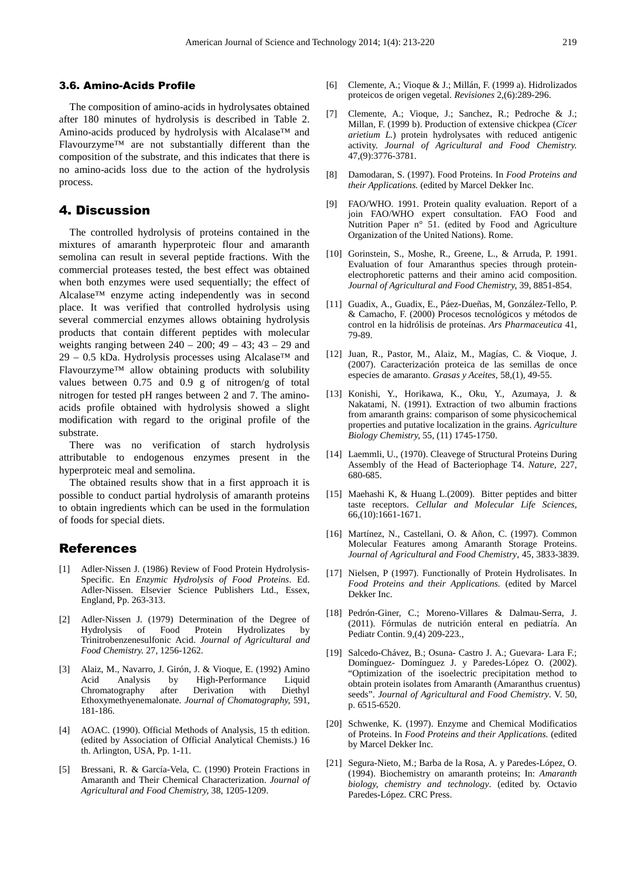#### 3.6. Amino-Acids Profile

The composition of amino-acids in hydrolysates obtained after 180 minutes of hydrolysis is described in Table 2. Amino-acids produced by hydrolysis with Alcalase™ and Flavourzyme™ are not substantially different than the composition of the substrate, and this indicates that there is no amino-acids loss due to the action of the hydrolysis process.

## 4. Discussion

The controlled hydrolysis of proteins contained in the mixtures of amaranth hyperproteic flour and amaranth semolina can result in several peptide fractions. With the commercial proteases tested, the best effect was obtained when both enzymes were used sequentially; the effect of Alcalase™ enzyme acting independently was in second place. It was verified that controlled hydrolysis using several commercial enzymes allows obtaining hydrolysis products that contain different peptides with molecular weights ranging between  $240 - 200$ ;  $49 - 43$ ;  $43 - 29$  and 29 – 0.5 kDa. Hydrolysis processes using Alcalase<sup>™</sup> and Flavourzyme™ allow obtaining products with solubility values between 0.75 and 0.9 g of nitrogen/g of total nitrogen for tested pH ranges between 2 and 7. The aminoacids profile obtained with hydrolysis showed a slight modification with regard to the original profile of the substrate.

There was no verification of starch hydrolysis attributable to endogenous enzymes present in the hyperproteic meal and semolina.

The obtained results show that in a first approach it is possible to conduct partial hydrolysis of amaranth proteins to obtain ingredients which can be used in the formulation of foods for special diets.

## References

- [1] Adler-Nissen J. (1986) Review of Food Protein Hydrolysis-Specific. En *Enzymic Hydrolysis of Food Proteins*. Ed. Adler-Nissen. Elsevier Science Publishers Ltd., Essex, England, Pp. 263-313.
- [2] Adler-Nissen J. (1979) Determination of the Degree of Hydrolysis of Food Protein Hydrolizates by Trinitrobenzenesulfonic Acid. *Journal of Agricultural and Food Chemistry.* 27, 1256-1262.
- [3] Alaiz, M., Navarro, J. Girón, J. & Vioque, E. (1992) Amino Acid Analysis by High-Performance Liquid Chromatography after Derivation with Diethyl Ethoxymethyenemalonate. *Journal of Chomatography,* 591, 181-186.
- [4] AOAC. (1990). Official Methods of Analysis, 15 th edition. (edited by Association of Official Analytical Chemists.) 16 th. Arlington, USA, Pp. 1-11.
- [5] Bressani, R. & García-Vela, C. (1990) Protein Fractions in Amaranth and Their Chemical Characterization. *Journal of Agricultural and Food Chemistry,* 38, 1205-1209.
- [6] Clemente, A.; Vioque & J.; Millán, F. (1999 a). Hidrolizados proteicos de origen vegetal. *Revisiones* 2,(6):289-296.
- [7] Clemente, A.; Vioque, J.; Sanchez, R.; Pedroche & J.; Millan, F. (1999 b). Production of extensive chickpea (*Cicer arietium L.*) protein hydrolysates with reduced antigenic activity. *Journal of Agricultural and Food Chemistry.* 47,(9):3776-3781.
- [8] Damodaran, S. (1997). Food Proteins. In *Food Proteins and their Applications.* (edited by Marcel Dekker Inc.
- [9] FAO/WHO. 1991. Protein quality evaluation. Report of a join FAO/WHO expert consultation. FAO Food and Nutrition Paper n° 51. (edited by Food and Agriculture Organization of the United Nations). Rome.
- [10] Gorinstein, S., Moshe, R., Greene, L., & Arruda, P. 1991. Evaluation of four Amaranthus species through proteinelectrophoretic patterns and their amino acid composition. *Journal of Agricultural and Food Chemistry,* 39, 8851-854.
- [11] Guadix, A., Guadix, E., Páez-Dueñas, M, González-Tello, P. & Camacho, F. (2000) Procesos tecnológicos y métodos de control en la hidrólisis de proteínas. *Ars Pharmaceutica* 41, 79-89.
- [12] Juan, R., Pastor, M., Alaiz, M., Magías, C. & Vioque, J. (2007). Caracterización proteica de las semillas de once especies de amaranto. *Grasas y Aceites,* 58,(1), 49-55.
- [13] Konishi, Y., Horikawa, K., Oku, Y., Azumaya, J. & Nakatami, N. (1991). Extraction of two albumin fractions from amaranth grains: comparison of some physicochemical properties and putative localization in the grains. *Agriculture Biology Chemistry,* 55, (11) 1745-1750.
- [14] Laemmli, U., (1970). Cleavege of Structural Proteins During Assembly of the Head of Bacteriophage T4. *Nature,* 227, 680-685.
- [15] Maehashi K, & Huang L.(2009). Bitter peptides and bitter taste receptors. *Cellular and Molecular Life Sciences*, 66,(10):1661-1671.
- [16] Martínez, N., Castellani, O. & Añon, C. (1997). Common Molecular Features among Amaranth Storage Proteins. *Journal of Agricultural and Food Chemistry,* 45, 3833-3839.
- [17] Nielsen, P (1997). Functionally of Protein Hydrolisates. In *Food Proteins and their Applications.* (edited by Marcel Dekker Inc.
- [18] Pedrón-Giner, C.; Moreno-Villares & Dalmau-Serra, J. (2011). Fórmulas de nutrición enteral en pediatría. An Pediatr Contin. 9,(4) 209-223.,
- [19] Salcedo-Chávez, B.; Osuna- Castro J. A.; Guevara- Lara F.; Domínguez- Domínguez J. y Paredes-López O. (2002). "Optimization of the isoelectric precipitation method to obtain protein isolates from Amaranth (Amaranthus cruentus) seeds". *Journal of Agricultural and Food Chemistry*. V. 50, p. 6515-6520.
- [20] Schwenke, K. (1997). Enzyme and Chemical Modificatios of Proteins. In *Food Proteins and their Applications.* (edited by Marcel Dekker Inc.
- [21] Segura-Nieto, M.; Barba de la Rosa, A. y Paredes-López, O. (1994). Biochemistry on amaranth proteins; In: *Amaranth biology, chemistry and technology*. (edited by. Octavio Paredes-López. CRC Press.